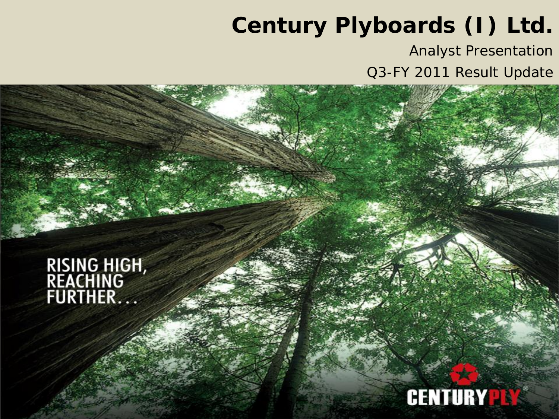# **Century Plyboards (I) Ltd.**

Analyst Presentation

Q3-FY 2011 Result Update

**RISING HIGH,<br>REACHING<br>FURTHER...** 

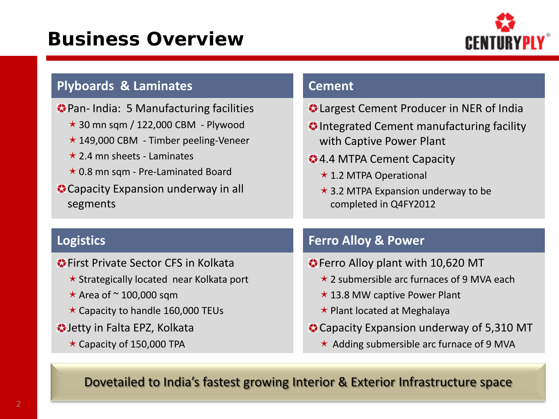## **Business Overview**



| <b>C</b> Largest Cement Producer in NER of India<br>O Integrated Cement manufacturing facility<br>with Captive Power Plant                                                                                                                                               |
|--------------------------------------------------------------------------------------------------------------------------------------------------------------------------------------------------------------------------------------------------------------------------|
| <b>24.4 MTPA Cement Capacity</b><br>$\star$ 1.2 MTPA Operational<br>$\star$ 3.2 MTPA Expansion underway to be<br>completed in Q4FY2012                                                                                                                                   |
| <b>Ferro Alloy &amp; Power</b>                                                                                                                                                                                                                                           |
| <b>•</b> Ferro Alloy plant with 10,620 MT<br>$\star$ 2 submersible arc furnaces of 9 MVA each<br>$\star$ 13.8 MW captive Power Plant<br>$\star$ Plant located at Meghalaya<br>Capacity Expansion underway of 5,310 MT<br>$\star$ Adding submersible arc furnace of 9 MVA |
|                                                                                                                                                                                                                                                                          |

Dovetailed to India's fastest growing Interior & Exterior Infrastructure space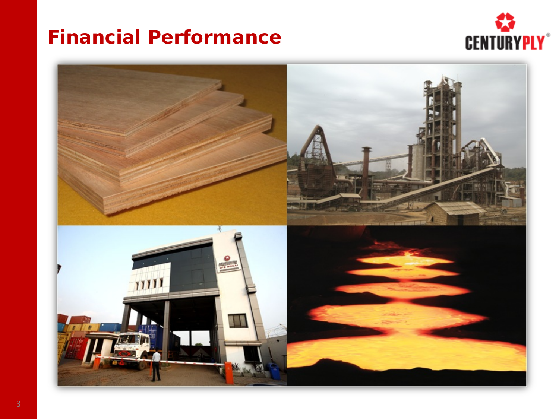#### **Financial Performance**



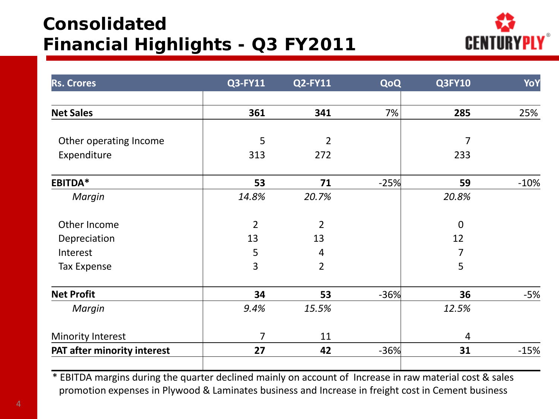### **Consolidated Financial Highlights - Q3 FY2011**



| <b>Rs. Crores</b>           | Q3-FY11        | <b>Q2-FY11</b> | QoQ    | <b>Q3FY10</b>    | YoY    |
|-----------------------------|----------------|----------------|--------|------------------|--------|
|                             |                |                |        |                  |        |
| <b>Net Sales</b>            | 361            | 341            | 7%     | 285              | 25%    |
|                             |                |                |        |                  |        |
| Other operating Income      | 5              | $\overline{2}$ |        | 7                |        |
| Expenditure                 | 313            | 272            |        | 233              |        |
| EBITDA*                     | 53             | 71             | $-25%$ | 59               | $-10%$ |
| Margin                      | 14.8%          | 20.7%          |        | 20.8%            |        |
| Other Income                | $\overline{2}$ | $\overline{2}$ |        | $\boldsymbol{0}$ |        |
| Depreciation                | 13             | 13             |        | 12               |        |
| Interest                    | 5              | $\overline{4}$ |        | 7                |        |
| <b>Tax Expense</b>          | 3              | $\overline{2}$ |        | 5                |        |
| <b>Net Profit</b>           | 34             | 53             | $-36%$ | 36               | $-5%$  |
| Margin                      | 9.4%           | 15.5%          |        | 12.5%            |        |
| <b>Minority Interest</b>    | $\overline{7}$ | 11             |        | $\overline{4}$   |        |
| PAT after minority interest | 27             | 42             | $-36%$ | 31               | $-15%$ |
|                             |                |                |        |                  |        |

\* EBITDA margins during the quarter declined mainly on account of Increase in raw material cost & sales promotion expenses in Plywood & Laminates business and Increase in freight cost in Cement business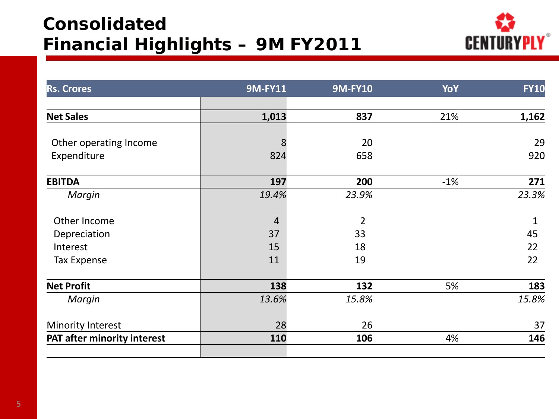### **Consolidated Financial Highlights – 9M FY2011**



| <b>Rs. Crores</b>           | <b>9M-FY11</b> | <b>9M-FY10</b> | YoY   | <b>FY10</b> |
|-----------------------------|----------------|----------------|-------|-------------|
|                             |                |                |       |             |
| <b>Net Sales</b>            | 1,013          | 837            | 21%   | 1,162       |
| Other operating Income      |                | 20             |       | 29          |
|                             | 8              |                |       |             |
| Expenditure                 | 824            | 658            |       | 920         |
| <b>EBITDA</b>               | 197            | 200            | $-1%$ | 271         |
| Margin                      | 19.4%          | 23.9%          |       | 23.3%       |
| Other Income                | $\overline{4}$ | $\overline{2}$ |       | $\mathbf 1$ |
| Depreciation                | 37             | 33             |       | 45          |
| Interest                    | 15             | 18             |       | 22          |
| <b>Tax Expense</b>          | 11             | 19             |       | 22          |
| <b>Net Profit</b>           | 138            | 132            | 5%    | 183         |
| Margin                      | 13.6%          | 15.8%          |       | 15.8%       |
| <b>Minority Interest</b>    | 28             | 26             |       | 37          |
| PAT after minority interest | 110            | 106            | 4%    | 146         |
|                             |                |                |       |             |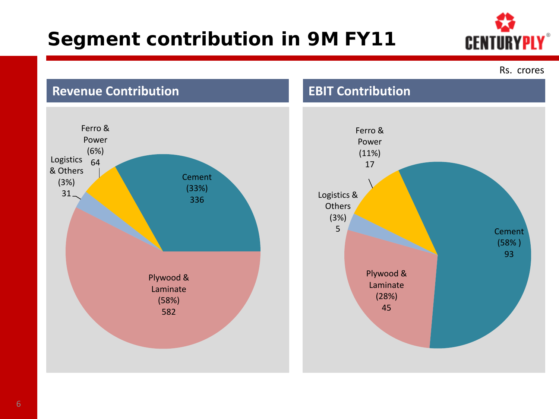## **Segment contribution in 9M FY11**



Rs. crores

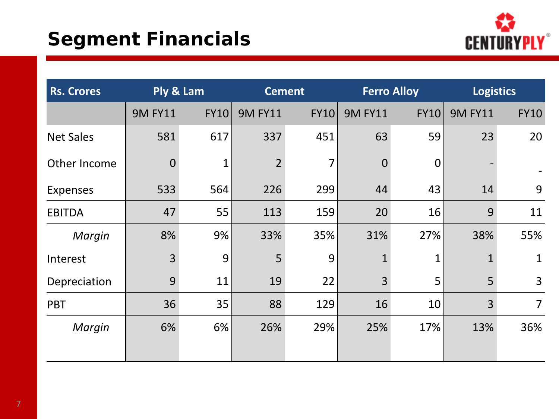## **Segment Financials**



| <b>Rs. Crores</b> |                | Ply & Lam   |                | <b>Cement</b>  |                | <b>Ferro Alloy</b> | <b>Logistics</b> |                |
|-------------------|----------------|-------------|----------------|----------------|----------------|--------------------|------------------|----------------|
|                   | <b>9M FY11</b> | <b>FY10</b> | <b>9M FY11</b> | <b>FY10</b>    | <b>9M FY11</b> | FY10               | <b>9M FY11</b>   | <b>FY10</b>    |
| <b>Net Sales</b>  | 581            | 617         | 337            | 451            | 63             | 59                 | 23               | 20             |
| Other Income      | $\theta$       | 1           | $\overline{2}$ | $\overline{7}$ | $\overline{0}$ | 0                  |                  |                |
| <b>Expenses</b>   | 533            | 564         | 226            | 299            | 44             | 43                 | 14               | 9              |
| <b>EBITDA</b>     | 47             | 55          | 113            | 159            | 20             | 16                 | 9                | 11             |
| Margin            | 8%             | 9%          | 33%            | 35%            | 31%            | 27%                | 38%              | 55%            |
| Interest          | 3              | 9           | 5              | 9              | $\mathbf{1}$   | 1                  |                  | $\mathbf{1}$   |
| Depreciation      | 9              | 11          | 19             | 22             | $\overline{3}$ | 5                  | 5                | 3              |
| <b>PBT</b>        | 36             | 35          | 88             | 129            | 16             | 10                 | 3                | $\overline{7}$ |
| Margin            | 6%             | 6%          | 26%            | 29%            | 25%            | 17%                | 13%              | 36%            |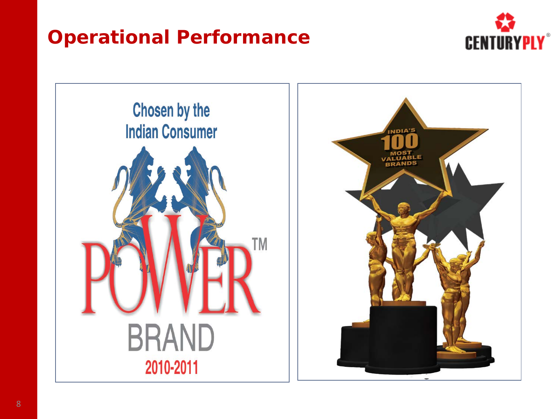## **Operational Performance**





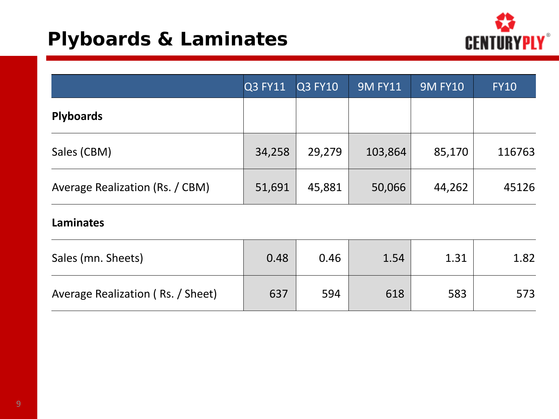## **Plyboards & Laminates**



|                                 | <b>Q3 FY11</b> | <b>Q3 FY10</b> | <b>9M FY11</b> | <b>9M FY10</b> | <b>FY10</b> |
|---------------------------------|----------------|----------------|----------------|----------------|-------------|
| <b>Plyboards</b>                |                |                |                |                |             |
| Sales (CBM)                     | 34,258         | 29,279         | 103,864        | 85,170         | 116763      |
| Average Realization (Rs. / CBM) | 51,691         | 45,881         | 50,066         | 44,262         | 45126       |

**Laminates**

| Sales (mn. Sheets)                | 0.48 | 0.46 | 1.54 | 1.31 | 1.82 |
|-----------------------------------|------|------|------|------|------|
| Average Realization (Rs. / Sheet) | 637  | 594  | 618  | 583  | 573  |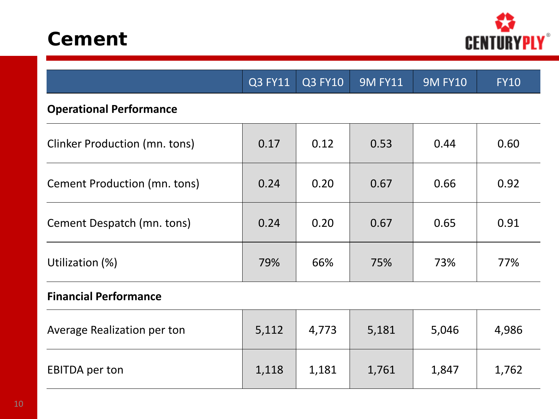



|                                      | Q3 FY11 | $Q3$ FY10 | <b>9M FY11</b> | <b>9M FY10</b> | <b>FY10</b> |  |  |  |
|--------------------------------------|---------|-----------|----------------|----------------|-------------|--|--|--|
| <b>Operational Performance</b>       |         |           |                |                |             |  |  |  |
| <b>Clinker Production (mn. tons)</b> | 0.17    | 0.12      | 0.53           | 0.44           | 0.60        |  |  |  |
| Cement Production (mn. tons)         | 0.24    | 0.20      | 0.67           | 0.66           | 0.92        |  |  |  |
| Cement Despatch (mn. tons)           | 0.24    | 0.20      | 0.67           | 0.65           | 0.91        |  |  |  |
| Utilization (%)                      | 79%     | 66%       | 75%            | 73%            | 77%         |  |  |  |
| <b>Financial Performance</b>         |         |           |                |                |             |  |  |  |
| Average Realization per ton          | 5,112   | 4,773     | 5,181          | 5,046          | 4,986       |  |  |  |
| <b>EBITDA</b> per ton                | 1,118   | 1,181     | 1,761          | 1,847          | 1,762       |  |  |  |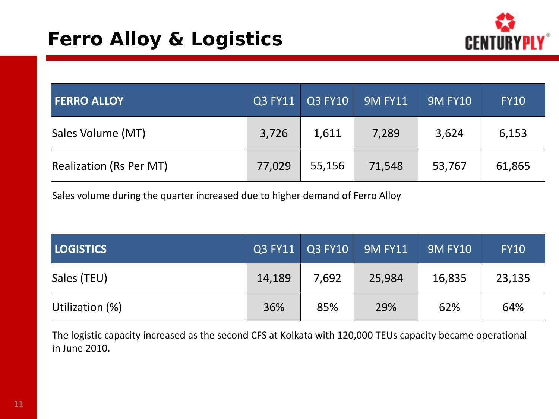

| <b>FERRO ALLOY</b>             | Q3 FY11 | Q3 FY10 | <b>9M FY11</b> | <b>9M FY10</b> | <b>FY10</b> |
|--------------------------------|---------|---------|----------------|----------------|-------------|
| Sales Volume (MT)              | 3,726   | 1,611   | 7,289          | 3,624          | 6,153       |
| <b>Realization (Rs Per MT)</b> | 77,029  | 55,156  | 71,548         | 53,767         | 61,865      |

Sales volume during the quarter increased due to higher demand of Ferro Alloy

| <b>LOGISTICS</b> | Q3 FY11 | Q3 FY10 | <b>9M FY11</b> | <b>9M FY10</b> | <b>FY10</b> |
|------------------|---------|---------|----------------|----------------|-------------|
| Sales (TEU)      | 14,189  | 7,692   | 25,984         | 16,835         | 23,135      |
| Utilization (%)  | 36%     | 85%     | 29%            | 62%            | 64%         |

The logistic capacity increased as the second CFS at Kolkata with 120,000 TEUs capacity became operational in June 2010.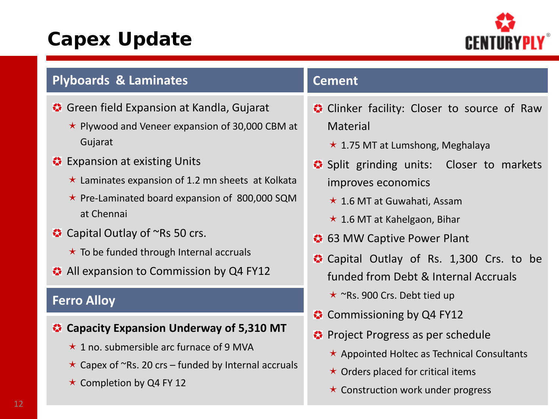## **Capex Update**



| <b>Plyboards &amp; Laminates</b>                                                                                                                                                                                                                                                                                                                                                                                                   | <b>Cement</b>                                                                                                                                                                                                                                                                                                                                                       |
|------------------------------------------------------------------------------------------------------------------------------------------------------------------------------------------------------------------------------------------------------------------------------------------------------------------------------------------------------------------------------------------------------------------------------------|---------------------------------------------------------------------------------------------------------------------------------------------------------------------------------------------------------------------------------------------------------------------------------------------------------------------------------------------------------------------|
| Green field Expansion at Kandla, Gujarat<br>$\star$ Plywood and Veneer expansion of 30,000 CBM at<br>Gujarat<br><b>C</b> Expansion at existing Units<br>$\star$ Laminates expansion of 1.2 mn sheets at Kolkata<br>$\star$ Pre-Laminated board expansion of 800,000 SQM<br>at Chennai<br>$\bullet$ Capital Outlay of $\sim$ Rs 50 crs.<br>$\star$ To be funded through Internal accruals<br>All expansion to Commission by Q4 FY12 | Clinker facility: Closer to source of Raw<br><b>Material</b><br>$\star$ 1.75 MT at Lumshong, Meghalaya<br>Split grinding units: Closer to markets<br>improves economics<br>$\star$ 1.6 MT at Guwahati, Assam<br>$\star$ 1.6 MT at Kahelgaon, Bihar<br>• 63 MW Captive Power Plant<br>Capital Outlay of Rs. 1,300 Crs. to be<br>funded from Debt & Internal Accruals |
| <b>Ferro Alloy</b>                                                                                                                                                                                                                                                                                                                                                                                                                 | $\star$ ~Rs. 900 Crs. Debt tied up                                                                                                                                                                                                                                                                                                                                  |
| Capacity Expansion Underway of 5,310 MT<br>$\star$ 1 no. submersible arc furnace of 9 MVA                                                                                                                                                                                                                                                                                                                                          | $\bullet$ Commissioning by Q4 FY12<br><b>☆</b> Project Progress as per schedule<br>$\star$ Appointed Holtec as Technical Consultants                                                                                                                                                                                                                                |

- $\star$  Capex of ~Rs. 20 crs funded by Internal accruals
- $\star$  Completion by Q4 FY 12

#### $\star$  Construction work under progress

 $\star$  Orders placed for critical items